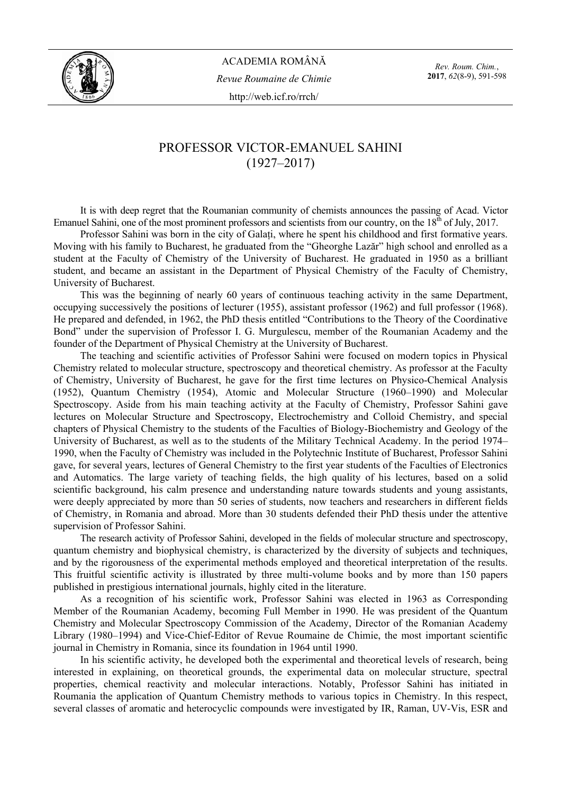

*Rev. Roum. Chim.*, **2017**, *62*(8-9), 591-598

## PROFESSOR VICTOR-EMANUEL SAHINI (1927–2017)

It is with deep regret that the Roumanian community of chemists announces the passing of Acad. Victor Emanuel Sahini, one of the most prominent professors and scientists from our country, on the  $18<sup>th</sup>$  of July, 2017.

Professor Sahini was born in the city of Galati, where he spent his childhood and first formative years. Moving with his family to Bucharest, he graduated from the "Gheorghe Lazăr" high school and enrolled as a student at the Faculty of Chemistry of the University of Bucharest. He graduated in 1950 as a brilliant student, and became an assistant in the Department of Physical Chemistry of the Faculty of Chemistry, University of Bucharest.

This was the beginning of nearly 60 years of continuous teaching activity in the same Department, occupying successively the positions of lecturer (1955), assistant professor (1962) and full professor (1968). He prepared and defended, in 1962, the PhD thesis entitled "Contributions to the Theory of the Coordinative Bond" under the supervision of Professor I. G. Murgulescu, member of the Roumanian Academy and the founder of the Department of Physical Chemistry at the University of Bucharest.

The teaching and scientific activities of Professor Sahini were focused on modern topics in Physical Chemistry related to molecular structure, spectroscopy and theoretical chemistry. As professor at the Faculty of Chemistry, University of Bucharest, he gave for the first time lectures on Physico-Chemical Analysis (1952), Quantum Chemistry (1954), Atomic and Molecular Structure (1960–1990) and Molecular Spectroscopy. Aside from his main teaching activity at the Faculty of Chemistry, Professor Sahini gave lectures on Molecular Structure and Spectroscopy, Electrochemistry and Colloid Chemistry, and special chapters of Physical Chemistry to the students of the Faculties of Biology-Biochemistry and Geology of the University of Bucharest, as well as to the students of the Military Technical Academy. In the period 1974– 1990, when the Faculty of Chemistry was included in the Polytechnic Institute of Bucharest, Professor Sahini gave, for several years, lectures of General Chemistry to the first year students of the Faculties of Electronics and Automatics. The large variety of teaching fields, the high quality of his lectures, based on a solid scientific background, his calm presence and understanding nature towards students and young assistants, were deeply appreciated by more than 50 series of students, now teachers and researchers in different fields of Chemistry, in Romania and abroad. More than 30 students defended their PhD thesis under the attentive supervision of Professor Sahini.

The research activity of Professor Sahini, developed in the fields of molecular structure and spectroscopy, quantum chemistry and biophysical chemistry, is characterized by the diversity of subjects and techniques, and by the rigorousness of the experimental methods employed and theoretical interpretation of the results. This fruitful scientific activity is illustrated by three multi-volume books and by more than 150 papers published in prestigious international journals, highly cited in the literature.

As a recognition of his scientific work, Professor Sahini was elected in 1963 as Corresponding Member of the Roumanian Academy, becoming Full Member in 1990. He was president of the Quantum Chemistry and Molecular Spectroscopy Commission of the Academy, Director of the Romanian Academy Library (1980–1994) and Vice-Chief-Editor of Revue Roumaine de Chimie, the most important scientific journal in Chemistry in Romania, since its foundation in 1964 until 1990.

In his scientific activity, he developed both the experimental and theoretical levels of research, being interested in explaining, on theoretical grounds, the experimental data on molecular structure, spectral properties, chemical reactivity and molecular interactions. Notably, Professor Sahini has initiated in Roumania the application of Quantum Chemistry methods to various topics in Chemistry. In this respect, several classes of aromatic and heterocyclic compounds were investigated by IR, Raman, UV-Vis, ESR and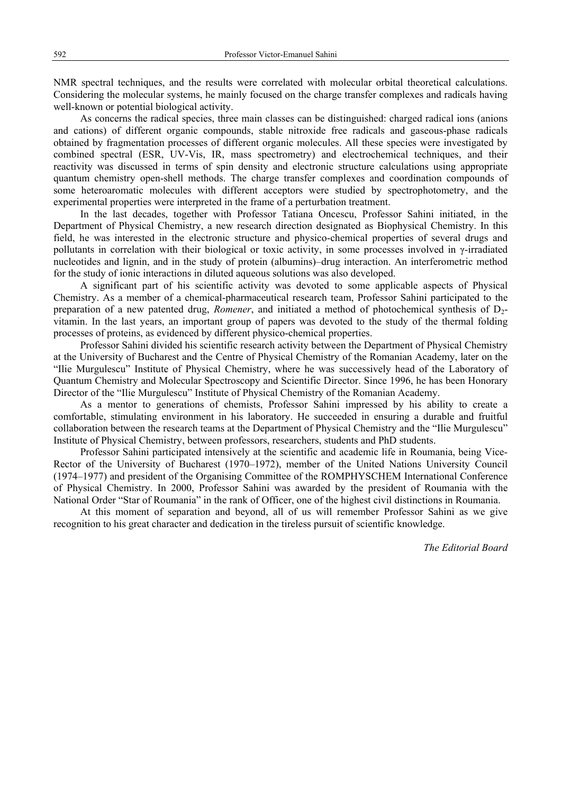NMR spectral techniques, and the results were correlated with molecular orbital theoretical calculations. Considering the molecular systems, he mainly focused on the charge transfer complexes and radicals having well-known or potential biological activity.

As concerns the radical species, three main classes can be distinguished: charged radical ions (anions and cations) of different organic compounds, stable nitroxide free radicals and gaseous-phase radicals obtained by fragmentation processes of different organic molecules. All these species were investigated by combined spectral (ESR, UV-Vis, IR, mass spectrometry) and electrochemical techniques, and their reactivity was discussed in terms of spin density and electronic structure calculations using appropriate quantum chemistry open-shell methods. The charge transfer complexes and coordination compounds of some heteroaromatic molecules with different acceptors were studied by spectrophotometry, and the experimental properties were interpreted in the frame of a perturbation treatment.

In the last decades, together with Professor Tatiana Oncescu, Professor Sahini initiated, in the Department of Physical Chemistry, a new research direction designated as Biophysical Chemistry. In this field, he was interested in the electronic structure and physico-chemical properties of several drugs and pollutants in correlation with their biological or toxic activity, in some processes involved in γ-irradiated nucleotides and lignin, and in the study of protein (albumins)–drug interaction. An interferometric method for the study of ionic interactions in diluted aqueous solutions was also developed.

A significant part of his scientific activity was devoted to some applicable aspects of Physical Chemistry. As a member of a chemical-pharmaceutical research team, Professor Sahini participated to the preparation of a new patented drug, *Romener*, and initiated a method of photochemical synthesis of D2 vitamin. In the last years, an important group of papers was devoted to the study of the thermal folding processes of proteins, as evidenced by different physico-chemical properties.

Professor Sahini divided his scientific research activity between the Department of Physical Chemistry at the University of Bucharest and the Centre of Physical Chemistry of the Romanian Academy, later on the "Ilie Murgulescu" Institute of Physical Chemistry, where he was successively head of the Laboratory of Quantum Chemistry and Molecular Spectroscopy and Scientific Director. Since 1996, he has been Honorary Director of the "Ilie Murgulescu" Institute of Physical Chemistry of the Romanian Academy.

As a mentor to generations of chemists, Professor Sahini impressed by his ability to create a comfortable, stimulating environment in his laboratory. He succeeded in ensuring a durable and fruitful collaboration between the research teams at the Department of Physical Chemistry and the "Ilie Murgulescu" Institute of Physical Chemistry, between professors, researchers, students and PhD students.

Professor Sahini participated intensively at the scientific and academic life in Roumania, being Vice-Rector of the University of Bucharest (1970–1972), member of the United Nations University Council (1974–1977) and president of the Organising Committee of the ROMPHYSCHEM International Conference of Physical Chemistry. In 2000, Professor Sahini was awarded by the president of Roumania with the National Order "Star of Roumania" in the rank of Officer, one of the highest civil distinctions in Roumania.

At this moment of separation and beyond, all of us will remember Professor Sahini as we give recognition to his great character and dedication in the tireless pursuit of scientific knowledge.

*The Editorial Board*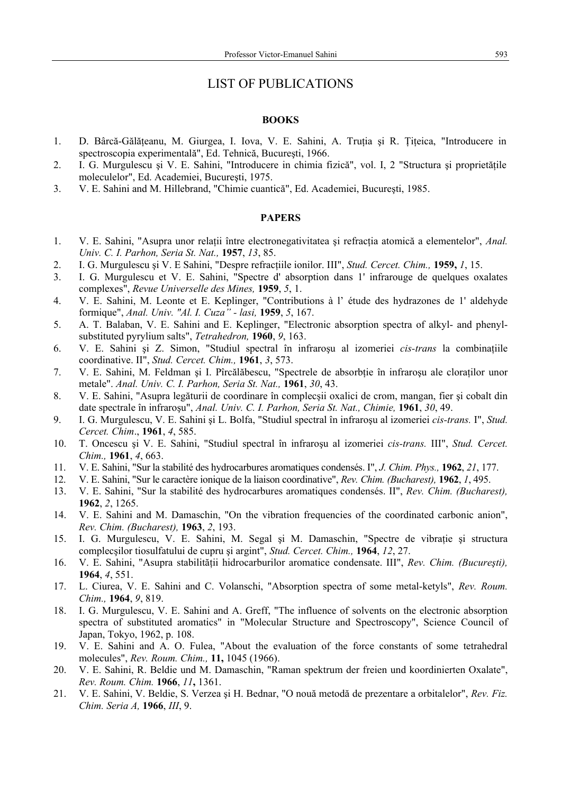## LIST OF PUBLICATIONS

## **BOOKS**

- 1. D. Bârcă-Gălăteanu, M. Giurgea, I. Iova, V. E. Sahini, A. Trutia și R. Titeica, "Introducere in spectroscopia experimentală", Ed. Tehnică, Bucureşti, 1966.
- 2. I. G. Murgulescu şi V. E. Sahini, "Introducere in chimia fizică", vol. I, 2 "Structura şi proprietăţile moleculelor", Ed. Academiei, Bucureşti, 1975.
- 3. V. E. Sahini and M. Hillebrand, "Chimie cuantică", Ed. Academiei, Bucureşti, 1985.

## **PAPERS**

- 1. V. E. Sahini, "Asupra unor relaţii între electronegativitatea şi refracţia atomică a elementelor", *Anal. Univ. C. I. Parhon, Seria St. Nat.,* **1957**, *13*, 85.
- 2. I. G. Murgulescu şi V. E Sahini, "Despre refracţiile ionilor. III", *Stud. Cercet. Chim.,* **1959,** *1*, 15.
- 3. I. G. Murgulescu et V. E. Sahini, "Spectre d' absorption dans 1' infrarouge de quelques oxalates complexes", *Revue Universelle des Mines,* **1959**, *5*, 1.
- 4. V. E. Sahini, M. Leonte et E. Keplinger, "Contributions à l' étude des hydrazones de 1' aldehyde formique", *Anal. Univ. "Al. I. Cuza" - lasi,* **1959**, *5*, 167.
- 5. A. T. Balaban, V. E. Sahini and E. Keplinger, "Electronic absorption spectra of alkyl- and phenylsubstituted pyrylium salts", *Tetrahedron,* **1960**, *9*, 163.
- 6. V. E. Sahini şi Z. Simon, "Studiul spectral în infraroşu al izomeriei *cis-trans* la combinaţiile coordinative. II", *Stud. Cercet. Chim.,* **1961**, *3*, 573.
- 7. V. E. Sahini, M. Feldman și I. Pîrcălăbescu, "Spectrele de absorbtie în infraroșu ale cloratilor unor metale". *Anal. Univ. C. I. Parhon, Seria St. Nat.,* **1961**, *30*, 43.
- 8. V. E. Sahini, "Asupra legăturii de coordinare în complecşii oxalici de crom, mangan, fier şi cobalt din date spectrale în infraroşu", *Anal. Univ. C. I. Parhon, Seria St. Nat., Chimie,* **1961**, *30*, 49.
- 9. I. G. Murgulescu, V. E. Sahini şi L. Bolfa, "Studiul spectral în infraroşu al izomeriei *cis-trans.* I", *Stud. Cercet. Chim*., **1961**, *4*, 585.
- 10. T. Oncescu şi V. E. Sahini, "Studiul spectral în infraroşu al izomeriei *cis-trans.* III", *Stud. Cercet. Chim.,* **1961**, *4*, 663.
- 11. V. E. Sahini, "Sur la stabilité des hydrocarbures aromatiques condensés. I", *J. Chim. Phys.,* **1962**, *21*, 177.
- 12. V. E. Sahini, "Sur le caractère ionique de la liaison coordinative", *Rev. Chim. (Bucharest),* **1962**, *1*, 495.
- 13. V. E. Sahini, "Sur la stabilité des hydrocarbures aromatiques condensés. II", *Rev. Chim. (Bucharest),* **1962**, *2*, 1265.
- 14. V. E. Sahini and M. Damaschin, "On the vibration frequencies of the coordinated carbonic anion", *Rev. Chim. (Bucharest),* **1963**, *2*, 193.
- 15. I. G. Murgulescu, V. E. Sahini, M. Segal şi M. Damaschin, "Spectre de vibraţie şi structura complecşilor tiosulfatului de cupru şi argint", *Stud. Cercet. Chim.,* **1964**, *12*, 27.
- 16. V. E. Sahini, "Asupra stabilității hidrocarburilor aromatice condensate. III", *Rev. Chim. (București)*, **1964**, *4*, 551.
- 17. L. Ciurea, V. E. Sahini and C. Volanschi, "Absorption spectra of some metal-ketyls", *Rev. Roum. Chim.,* **1964**, *9*, 819.
- 18. I. G. Murgulescu, V. E. Sahini and A. Greff, "The influence of solvents on the electronic absorption spectra of substituted aromatics" in "Molecular Structure and Spectroscopy", Science Council of Japan, Tokyo, 1962, p. 108.
- 19. V. E. Sahini and A. O. Fulea, "About the evaluation of the force constants of some tetrahedral molecules", *Rev. Roum. Chim.,* **11,** 1045 (1966).
- 20. V. E. Sahini, R. Beldie und M. Damaschin, "Raman spektrum der freien und koordinierten Oxalate", *Rev. Roum. Chim.* **1966**, *11***,** 1361.
- 21. V. E. Sahini, V. Beldie, S. Verzea şi H. Bednar, "O nouă metodă de prezentare a orbitalelor", *Rev. Fiz. Chim. Seria A,* **1966**, *III*, 9.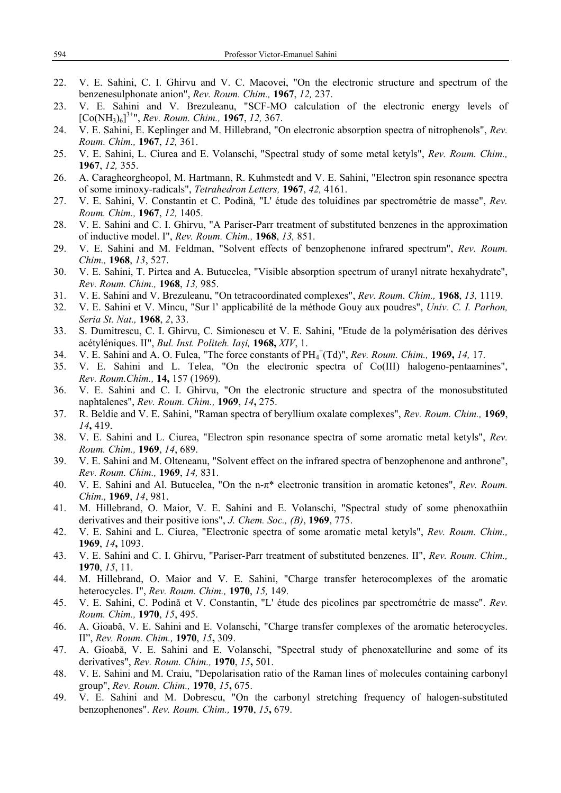- 22. V. E. Sahini, C. I. Ghirvu and V. C. Macovei, "On the electronic structure and spectrum of the benzenesulphonate anion", *Rev. Roum. Chim.,* **1967**, *12,* 237.
- 23. V. E. Sahini and V. Brezuleanu, "SCF-MO calculation of the electronic energy levels of [Co(NH3)6] 3+", *Rev. Roum. Chim.,* **1967**, *12,* 367.
- 24. V. E. Sahini, E. Keplinger and M. Hillebrand, "On electronic absorption spectra of nitrophenols", *Rev. Roum. Chim.,* **1967**, *12,* 361.
- 25. V. E. Sahini, L. Ciurea and E. Volanschi, "Spectral study of some metal ketyls", *Rev. Roum. Chim.,* **1967**, *12,* 355.
- 26. A. Caragheorgheopol, M. Hartmann, R. Kuhmstedt and V. E. Sahini, "Electron spin resonance spectra of some iminoxy-radicals", *Tetrahedron Letters,* **1967**, *42,* 4161.
- 27. V. E. Sahini, V. Constantin et C. Podină, "L' étude des toluidines par spectrométrie de masse", *Rev. Roum. Chim.,* **1967**, *12,* 1405.
- 28. V. E. Sahini and C. I. Ghirvu, "A Pariser-Parr treatment of substituted benzenes in the approximation of inductive model. I", *Rev. Roum. Chim.,* **1968**, *13,* 851.
- 29. V. E. Sahini and M. Feldman, "Solvent effects of benzophenone infrared spectrum", *Rev. Roum. Chim.,* **1968**, *13*, 527.
- 30. V. E. Sahini, T. Pirtea and A. Butucelea, "Visible absorption spectrum of uranyl nitrate hexahydrate", *Rev. Roum. Chim.,* **1968**, *13,* 985.
- 31. V. E. Sahini and V. Brezuleanu, "On tetracoordinated complexes", *Rev. Roum. Chim.,* **1968**, *13,* 1119.
- 32. V. E. Sahini et V. Mincu, "Sur l' applicabilité de la méthode Gouy aux poudres", *Univ. C. I. Parhon, Seria St. Nat.,* **1968**, *2*, 33.
- 33. S. Dumitrescu, C. I. Ghirvu, C. Simionescu et V. E. Sahini, "Etude de la polymérisation des dérives acétyléniques. II", *Bul. Inst. Politeh. Iaşi,* **1968,** *XIV*, 1.
- 34. V. E. Sahini and A. O. Fulea, "The force constants of PH4 + (Td)", *Rev. Roum. Chim.,* **1969,** *14,* 17.
- 35. V. E. Sahini and L. Telea, "On the electronic spectra of Co(III) halogeno-pentaamines", *Rev. Roum.Chim.,* **14,** 157 (1969).
- 36. V. E. Sahini and C. I. Ghirvu, "On the electronic structure and spectra of the monosubstituted naphtalenes", *Rev. Roum. Chim.,* **1969**, *14***,** 275.
- 37. R. Beldie and V. E. Sahini, "Raman spectra of beryllium oxalate complexes", *Rev. Roum. Chim.,* **1969**, *14***,** 419.
- 38. V. E. Sahini and L. Ciurea, "Electron spin resonance spectra of some aromatic metal ketyls", *Rev. Roum. Chim.,* **1969**, *14*, 689.
- 39. V. E. Sahini and M. Olteneanu, "Solvent effect on the infrared spectra of benzophenone and anthrone", *Rev. Roum. Chim.,* **1969**, *14,* 831.
- 40. V. E. Sahini and Al. Butucelea, "On the n-π\* electronic transition in aromatic ketones", *Rev. Roum. Chim.,* **1969**, *14*, 981.
- 41. M. Hillebrand, O. Maior, V. E. Sahini and E. Volanschi, "Spectral study of some phenoxathiin derivatives and their positive ions", *J. Chem. Soc., (B)*, **1969**, 775.
- 42. V. E. Sahini and L. Ciurea, "Electronic spectra of some aromatic metal ketyls", *Rev. Roum. Chim.,* **1969**, *14***,** 1093.
- 43. V. E. Sahini and C. I. Ghirvu, "Pariser-Parr treatment of substituted benzenes. II", *Rev. Roum. Chim.,*  **1970**, *15*, 11.
- 44. M. Hillebrand, O. Maior and V. E. Sahini, "Charge transfer heterocomplexes of the aromatic heterocycles. I", *Rev. Roum. Chim.,* **1970**, *15,* 149.
- 45. V. E. Sahini, C. Podină et V. Constantin, "L' étude des picolines par spectrométrie de masse". *Rev. Roum. Chim.,* **1970**, *15*, 495.
- 46. A. Gioabă, V. E. Sahini and E. Volanschi, "Charge transfer complexes of the aromatic heterocycles. II", *Rev. Roum. Chim.,* **1970**, *15***,** 309.
- 47. A. Gioabă, V. E. Sahini and E. Volanschi, "Spectral study of phenoxatellurine and some of its derivatives", *Rev. Roum. Chim.,* **1970**, *15***,** 501.
- 48. V. E. Sahini and M. Craiu, "Depolarisation ratio of the Raman lines of molecules containing carbonyl group", *Rev. Roum. Chim.,* **1970**, *15***,** 675.
- 49. V. E. Sahini and M. Dobrescu, "On the carbonyl stretching frequency of halogen-substituted benzophenones". *Rev. Roum. Chim.,* **1970**, *15***,** 679.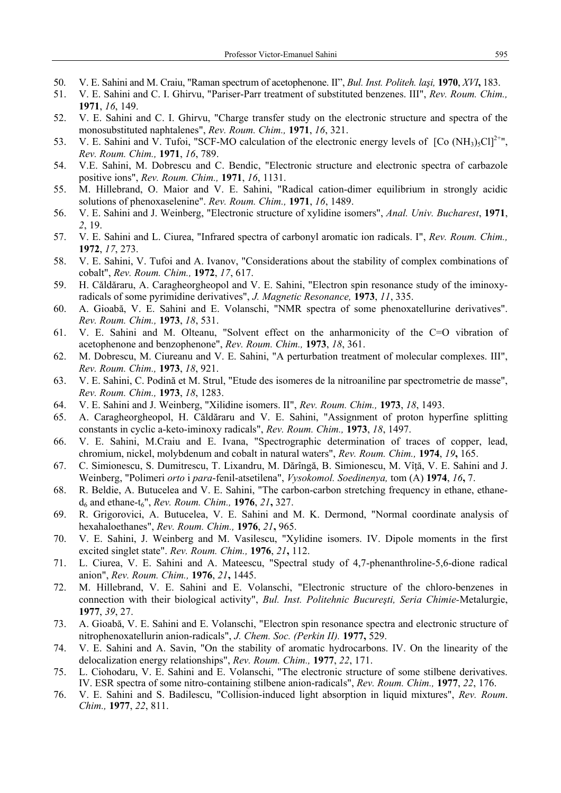- 50. V. E. Sahini and M. Craiu, "Raman spectrum of acetophenone. II", *Bul. Inst. Politeh. laşi,* **1970**, *XVI***,** 183.
- 51. V. E. Sahini and C. I. Ghirvu, "Pariser-Parr treatment of substituted benzenes. III", *Rev. Roum. Chim.,* **1971**, *16*, 149.
- 52. V. E. Sahini and C. I. Ghirvu, "Charge transfer study on the electronic structure and spectra of the monosubstituted naphtalenes", *Rev. Roum. Chim.,* **1971**, *16*, 321.
- 53. V. E. Sahini and V. Tufoi, "SCF-MO calculation of the electronic energy levels of  $[Co (NH<sub>3</sub>)<sub>5</sub>Cl]<sup>2+*u*</sup>$ , *Rev. Roum. Chim.,* **1971**, *16*, 789.
- 54. V.E. Sahini, M. Dobrescu and C. Bendic, "Electronic structure and electronic spectra of carbazole positive ions", *Rev. Roum. Chim.,* **1971**, *16*, 1131.
- 55. M. Hillebrand, O. Maior and V. E. Sahini, "Radical cation-dimer equilibrium in strongly acidic solutions of phenoxaselenine". *Rev. Roum. Chim.,* **1971**, *16*, 1489.
- 56. V. E. Sahini and J. Weinberg, "Electronic structure of xylidine isomers", *Anal. Univ. Bucharest*, **1971**, *2*, 19.
- 57. V. E. Sahini and L. Ciurea, "Infrared spectra of carbonyl aromatic ion radicals. I", *Rev. Roum. Chim.,*  **1972**, *17*, 273.
- 58. V. E. Sahini, V. Tufoi and A. Ivanov, "Considerations about the stability of complex combinations of cobalt", *Rev. Roum. Chim.,* **1972**, *17*, 617.
- 59. H. Căldăraru, A. Caragheorgheopol and V. E. Sahini, "Electron spin resonance study of the iminoxyradicals of some pyrimidine derivatives", *J. Magnetic Resonance,* **1973**, *11*, 335.
- 60. A. Gioabă, V. E. Sahini and E. Volanschi, "NMR spectra of some phenoxatellurine derivatives". *Rev. Roum. Chim.,* **1973**, *18*, 531.
- 61. V. E. Sahini and M. Olteanu, "Solvent effect on the anharmonicity of the C=O vibration of acetophenone and benzophenone", *Rev. Roum. Chim.,* **1973**, *18*, 361.
- 62. M. Dobrescu, M. Ciureanu and V. E. Sahini, "A perturbation treatment of molecular complexes. III", *Rev. Roum. Chim.,* **1973**, *18*, 921.
- 63. V. E. Sahini, C. Podină et M. Strul, "Etude des isomeres de la nitroaniline par spectrometrie de masse", *Rev. Roum. Chim.,* **1973**, *18*, 1283.
- 64. V. E. Sahini and J. Weinberg, "Xilidine isomers. II", *Rev. Roum. Chim.,* **1973**, *18*, 1493.
- 65. A. Caragheorgheopol, H. Căldăraru and V. E. Sahini, "Assignment of proton hyperfine splitting constants in cyclic a-keto-iminoxy radicals", *Rev. Roum. Chim.,* **1973**, *18*, 1497.
- 66. V. E. Sahini, M.Craiu and E. Ivana, "Spectrographic determination of traces of copper, lead, chromium, nickel, molybdenum and cobalt in natural waters", *Rev. Roum. Chim.,* **1974**, *19***,** 165.
- 67. C. Simionescu, S. Dumitrescu, T. Lixandru, M. Dărîngă, B. Simionescu, M. Vîţă, V. E. Sahini and J. Weinberg, "Polimeri *orto* i *para*-fenil-atsetilena", *Vysokomol. Soedinenya,* tom (A) **1974**, *16***,** 7.
- 68. R. Beldie, A. Butucelea and V. E. Sahini, "The carbon-carbon stretching frequency in ethane, ethaned6 and ethane-t6", *Rev. Roum. Chim.,* **1976**, *21***,** 327.
- 69. R. Grigorovici, A. Butucelea, V. E. Sahini and M. K. Dermond, "Normal coordinate analysis of hexahaloethanes", *Rev. Roum. Chim.,* **1976**, *21***,** 965.
- 70. V. E. Sahini, J. Weinberg and M. Vasilescu, "Xylidine isomers. IV. Dipole moments in the first excited singlet state". *Rev. Roum. Chim.,* **1976**, *21***,** 112.
- 71. L. Ciurea, V. E. Sahini and A. Mateescu, "Spectral study of 4,7-phenanthroline-5,6-dione radical anion", *Rev. Roum. Chim.,* **1976**, *21***,** 1445.
- 72. M. Hillebrand, V. E. Sahini and E. Volanschi, "Electronic structure of the chloro-benzenes in connection with their biological activity", *Bul. Inst. Politehnic Bucureşti, Seria Chimie-*Metalurgie, **1977**, *39*, 27.
- 73. A. Gioabă, V. E. Sahini and E. Volanschi, "Electron spin resonance spectra and electronic structure of nitrophenoxatellurin anion-radicals", *J. Chem. Soc. (Perkin II).* **1977,** 529.
- 74. V. E. Sahini and A. Savin, "On the stability of aromatic hydrocarbons. IV. On the linearity of the delocalization energy relationships", *Rev. Roum. Chim.,* **1977**, *22*, 171.
- 75. L. Ciohodaru, V. E. Sahini and E. Volanschi, "The electronic structure of some stilbene derivatives. IV. ESR spectra of some nitro-containing stilbene anion-radicals", *Rev. Roum. Chim.,* **1977**, *22*, 176.
- 76. V. E. Sahini and S. Badilescu, "Collision-induced light absorption in liquid mixtures", *Rev. Roum*. *Chim.,* **1977**, *22*, 811.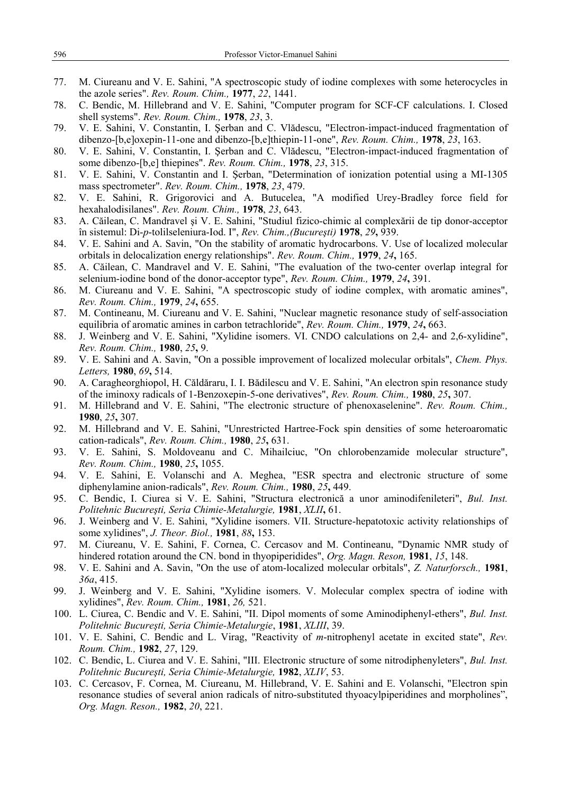- 77. M. Ciureanu and V. E. Sahini, "A spectroscopic study of iodine complexes with some heterocycles in the azole series". *Rev. Roum. Chim.,* **1977**, *22*, 1441.
- 78. C. Bendic, M. Hillebrand and V. E. Sahini, "Computer program for SCF-CF calculations. I. Closed shell systems". *Rev. Roum. Chim.,* **1978**, *23*, 3.
- 79. V. E. Sahini, V. Constantin, I. Şerban and C. Vlădescu, "Electron-impact-induced fragmentation of dibenzo-[b,e]oxepin-11-one and dibenzo-[b,e]thiepin-11-one", *Rev. Roum. Chim.,* **1978**, *23*, 163.
- 80. V. E. Sahini, V. Constantin, I. Şerban and C. Vlădescu, "Electron-impact-induced fragmentation of some dibenzo-[b,e] thiepines". *Rev. Roum. Chim.,* **1978**, *23*, 315.
- 81. V. E. Sahini, V. Constantin and I. Şerban, "Determination of ionization potential using a MI-1305 mass spectrometer". *Rev. Roum. Chim.,* **1978**, *23*, 479.
- 82. V. E. Sahini, R. Grigorovici and A. Butucelea, "A modified Urey-Bradley force field for hexahalodisilanes". *Rev. Roum. Chim.,* **1978**, *23*, 643.
- 83. A. Căilean, C. Mandravel şi V. E. Sahini, "Studiul fizico-chimic al complexării de tip donor-acceptor în sistemul: Di-*p*-tolilseleniura-Iod. I", *Rev. Chim.,(Bucureşti)* **1978**, *29***,** 939.
- 84. V. E. Sahini and A. Savin, "On the stability of aromatic hydrocarbons. V. Use of localized molecular orbitals in delocalization energy relationships". *Rev. Roum. Chim.,* **1979**, *24***,** 165.
- 85. A. Căilean, C. Mandravel and V. E. Sahini, "The evaluation of the two-center overlap integral for selenium-iodine bond of the donor-acceptor type", *Rev. Roum. Chim.,* **1979**, *24***,** 391.
- 86. M. Ciureanu and V. E. Sahini, "A spectroscopic study of iodine complex, with aromatic amines", *Rev. Roum. Chim.,* **1979**, *24***,** 655.
- 87. M. Contineanu, M. Ciureanu and V. E. Sahini, "Nuclear magnetic resonance study of self-association equilibria of aromatic amines in carbon tetrachloride", *Rev. Roum. Chim.,* **1979**, *24***,** 663.
- 88. J. Weinberg and V. E. Sahini, "Xylidine isomers. VI. CNDO calculations on 2,4- and 2,6-xylidine", *Rev. Roum. Chim.,* **1980**, *25***,** 9.
- 89. V. E. Sahini and A. Savin, "On a possible improvement of localized molecular orbitals", *Chem. Phys. Letters,* **1980**, *69***,** 514.
- 90. A. Caragheorghiopol, H. Căldăraru, I. I. Bădilescu and V. E. Sahini, "An electron spin resonance study of the iminoxy radicals of 1-Benzoxepin-5-one derivatives", *Rev. Roum. Chim.,* **1980**, *25***,** 307.
- 91. M. Hillebrand and V. E. Sahini, "The electronic structure of phenoxaselenine". *Rev. Roum. Chim.,* **1980**, *25***,** 307.
- 92. M. Hillebrand and V. E. Sahini, "Unrestricted Hartree-Fock spin densities of some heteroaromatic cation-radicals", *Rev. Roum. Chim.,* **1980**, *25***,** 631.
- 93. V. E. Sahini, S. Moldoveanu and C. Mihailciuc, "On chlorobenzamide molecular structure", *Rev. Roum. Chim.,* **1980**, *25***,** 1055.
- 94. V. E. Sahini, E. Volanschi and A. Meghea, "ESR spectra and electronic structure of some diphenylamine anion-radicals", *Rev. Roum. Chim.,* **1980**, *25***,** 449.
- 95. C. Bendic, I. Ciurea si V. E. Sahini, "Structura electronică a unor aminodifenileteri", *Bul. Inst. Politehnic Bucureşti, Seria Chimie-Metalurgie,* **1981**, *XLII***,** 61.
- 96. J. Weinberg and V. E. Sahini, "Xylidine isomers. VII. Structure-hepatotoxic activity relationships of some xylidines", *J. Theor. Biol.,* **1981**, *88***,** 153.
- 97. M. Ciureanu, V. E. Sahini, F. Cornea, C. Cercasov and M. Contineanu, "Dynamic NMR study of hindered rotation around the CN. bond in thyopiperidides", *Org. Magn. Reson,* **1981**, *15*, 148.
- 98. V. E. Sahini and A. Savin, "On the use of atom-localized molecular orbitals", *Z. Naturforsch.,* **1981**, *36a*, 415.
- 99. J. Weinberg and V. E. Sahini, "Xylidine isomers. V. Molecular complex spectra of iodine with xylidines", *Rev. Roum. Chim.,* **1981**, *26,* 521.
- 100. L. Ciurea, C. Bendic and V. E. Sahini, "II. Dipol moments of some Aminodiphenyl-ethers", *Bul. Inst. Politehnic Bucureşti, Seria Chimie-Metalurgie*, **1981**, *XLIII*, 39.
- 101. V. E. Sahini, C. Bendic and L. Virag, "Reactivity of *m*-nitrophenyl acetate in excited state", *Rev. Roum. Chim.,* **1982**, *27*, 129.
- 102. C. Bendic, L. Ciurea and V. E. Sahini, "III. Electronic structure of some nitrodiphenyleters", *Bul. Inst. Politehnic Bucureşti, Seria Chimie-Metalurgie,* **1982**, *XLIV*, 53.
- 103. C. Cercasov, F. Cornea, M. Ciureanu, M. Hillebrand, V. E. Sahini and E. Volanschi, "Electron spin resonance studies of several anion radicals of nitro-substituted thyoacylpiperidines and morpholines", *Org. Magn. Reson.,* **1982**, *20*, 221.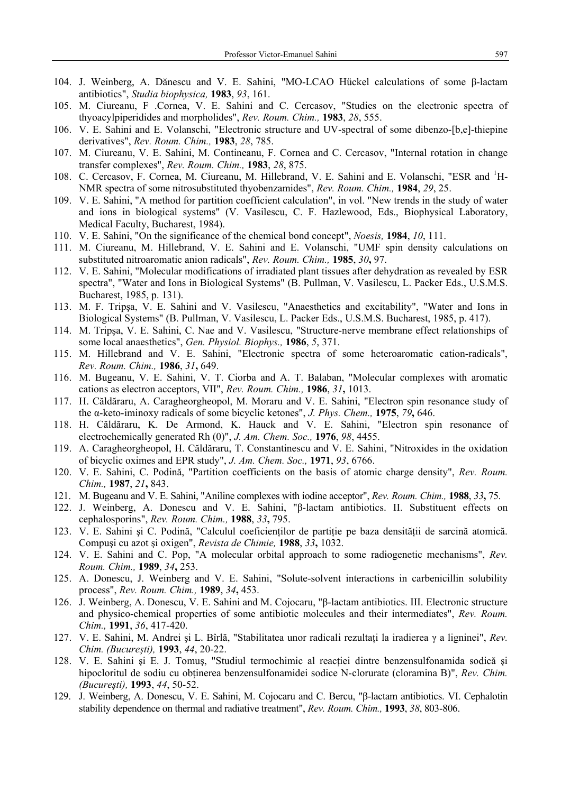- 104. J. Weinberg, A. Dănescu and V. E. Sahini, "MO-LCAO Hückel calculations of some β-lactam antibiotics", *Studia biophysica,* **1983**, *93*, 161.
- 105. M. Ciureanu, F .Cornea, V. E. Sahini and C. Cercasov, "Studies on the electronic spectra of thyoacylpiperidides and morpholides", *Rev. Roum. Chim.,* **1983**, *28*, 555.
- 106. V. E. Sahini and E. Volanschi, "Electronic structure and UV-spectral of some dibenzo-[b,e]-thiepine derivatives", *Rev. Roum. Chim.,* **1983**, *28*, 785.
- 107. M. Ciureanu, V. E. Sahini, M. Contineanu, F. Cornea and C. Cercasov, "Internal rotation in change transfer complexes", *Rev. Roum. Chim.,* **1983**, *28*, 875.
- 108. C. Cercasov, F. Cornea, M. Ciureanu, M. Hillebrand, V. E. Sahini and E. Volanschi, "ESR and <sup>1</sup>H-NMR spectra of some nitrosubstituted thyobenzamides", *Rev. Roum. Chim.,* **1984**, *29*, 25.
- 109. V. E. Sahini, "A method for partition coefficient calculation", in vol. "New trends in the study of water and ions in biological systems" (V. Vasilescu, C. F. Hazlewood, Eds., Biophysical Laboratory, Medical Faculty, Bucharest, 1984).
- 110. V. E. Sahini, "On the significance of the chemical bond concept", *Noesis,* **1984**, *10*, 111.
- 111. M. Ciureanu, M. Hillebrand, V. E. Sahini and E. Volanschi, "UMF spin density calculations on substituted nitroaromatic anion radicals", *Rev. Roum. Chim.,* **1985**, *30***,** 97.
- 112. V. E. Sahini, "Molecular modifications of irradiated plant tissues after dehydration as revealed by ESR spectra", "Water and Ions in Biological Systems" (B. Pullman, V. Vasilescu, L. Packer Eds., U.S.M.S. Bucharest, 1985, p. 131).
- 113. M. F. Tripşa, V. E. Sahini and V. Vasilescu, "Anaesthetics and excitability", "Water and Ions in Biological Systems" (B. Pullman, V. Vasilescu, L. Packer Eds., U.S.M.S. Bucharest, 1985, p. 417).
- 114. M. Tripşa, V. E. Sahini, C. Nae and V. Vasilescu, "Structure-nerve membrane effect relationships of some local anaesthetics", *Gen. Physiol. Biophys.,* **1986**, *5*, 371.
- 115. M. Hillebrand and V. E. Sahini, "Electronic spectra of some heteroaromatic cation-radicals", *Rev. Roum. Chim.,* **1986**, *31***,** 649.
- 116. M. Bugeanu, V. E. Sahini, V. T. Ciorba and A. T. Balaban, "Molecular complexes with aromatic cations as electron acceptors, VII", *Rev. Roum. Chim.,* **1986**, *31***,** 1013.
- 117. H. Căldăraru, A. Caragheorgheopol, M. Moraru and V. E. Sahini, "Electron spin resonance study of the α-keto-iminoxy radicals of some bicyclic ketones", *J. Phys. Chem.,* **1975**, *79***,** 646.
- 118. H. Căldăraru, K. De Armond, K. Hauck and V. E. Sahini, "Electron spin resonance of electrochemically generated Rh (0)", *J. Am. Chem. Soc.,* **1976**, *98*, 4455.
- 119. A. Caragheorgheopol, H. Căldăraru, T. Constantinescu and V. E. Sahini, "Nitroxides in the oxidation of bicyclic oximes and EPR study", *J. Am. Chem. Soc.,* **1971**, *93*, 6766.
- 120. V. E. Sahini, C. Podină, "Partition coefficients on the basis of atomic charge density", *Rev. Roum. Chim.,* **1987**, *21***,** 843.
- 121. M. Bugeanu and V. E. Sahini, "Aniline complexes with iodine acceptor", *Rev. Roum. Chim.,* **1988**, *33***,** 75.
- 122. J. Weinberg, A. Donescu and V. E. Sahini, "β-lactam antibiotics. II. Substituent effects on cephalosporins", *Rev. Roum. Chim.,* **1988**, *33***,** 795.
- 123. V. E. Sahini și C. Podină, "Calculul coeficienților de partiție pe baza densității de sarcină atomică. Compuşi cu azot şi oxigen", *Revista de Chimie,* **1988**, *33***,** 1032.
- 124. V. E. Sahini and C. Pop, "A molecular orbital approach to some radiogenetic mechanisms", *Rev. Roum. Chim.,* **1989**, *34***,** 253.
- 125. A. Donescu, J. Weinberg and V. E. Sahini, "Solute-solvent interactions in carbenicillin solubility process", *Rev. Roum. Chim.,* **1989**, *34***,** 453.
- 126. J. Weinberg, A. Donescu, V. E. Sahini and M. Cojocaru, "β-lactam antibiotics. III. Electronic structure and physico-chemical properties of some antibiotic molecules and their intermediates", *Rev. Roum. Chim.,* **1991**, *36*, 417-420.
- 127. V. E. Sahini, M. Andrei şi L. Bîrlă, "Stabilitatea unor radicali rezultaţi la iradierea γ a ligninei", *Rev. Chim. (Bucureşti),* **1993**, *44*, 20-22.
- 128. V. E. Sahini şi E. J. Tomuş, "Studiul termochimic al reacţiei dintre benzensulfonamida sodică şi hipocloritul de sodiu cu obţinerea benzensulfonamidei sodice N-clorurate (cloramina B)", *Rev. Chim. (Bucureşti),* **1993**, *44*, 50-52.
- 129. J. Weinberg, A. Donescu, V. E. Sahini, M. Cojocaru and C. Bercu, "β-lactam antibiotics. VI. Cephalotin stability dependence on thermal and radiative treatment", *Rev. Roum. Chim.,* **1993**, *38*, 803-806.